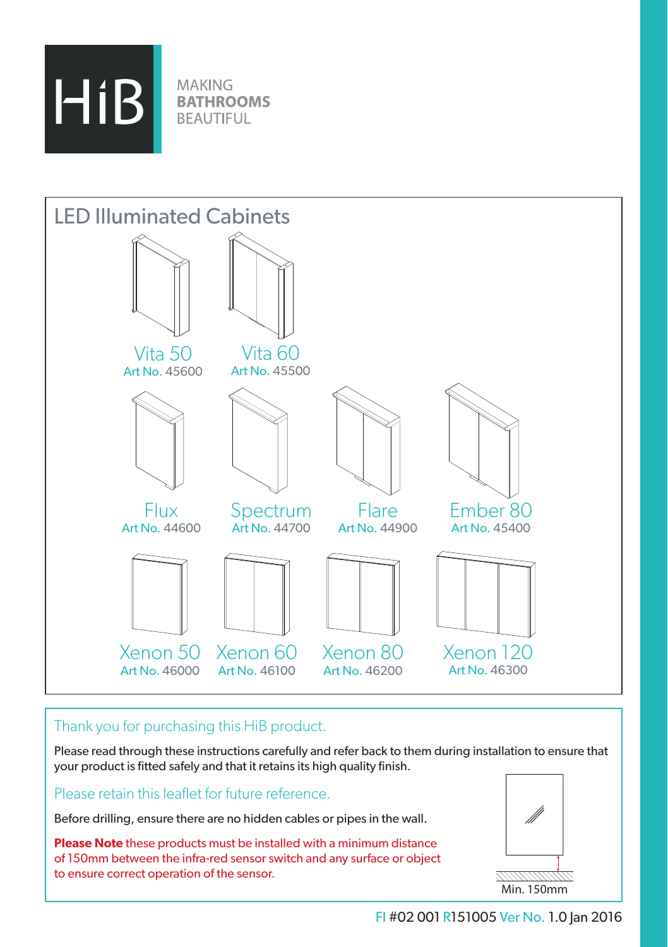

**MAKING BATHROOMS BEAUTIFUL** 



# Thank you for purchasing this HiB product.

Please read through these instructions carefully and refer back to them during installation to ensure that your product is fitted safely and that it retains its high quality finish.

# Please retain this leaflet for future reference.

Before drilling, ensure there are no hidden cables or pipes in the wall.

**Please Note** these products must be installed with a minimum distance of 150mm between the infra-red sensor switch and any surface or object to ensure correct operation of the sensor.



77/7777777777 Min. 150mm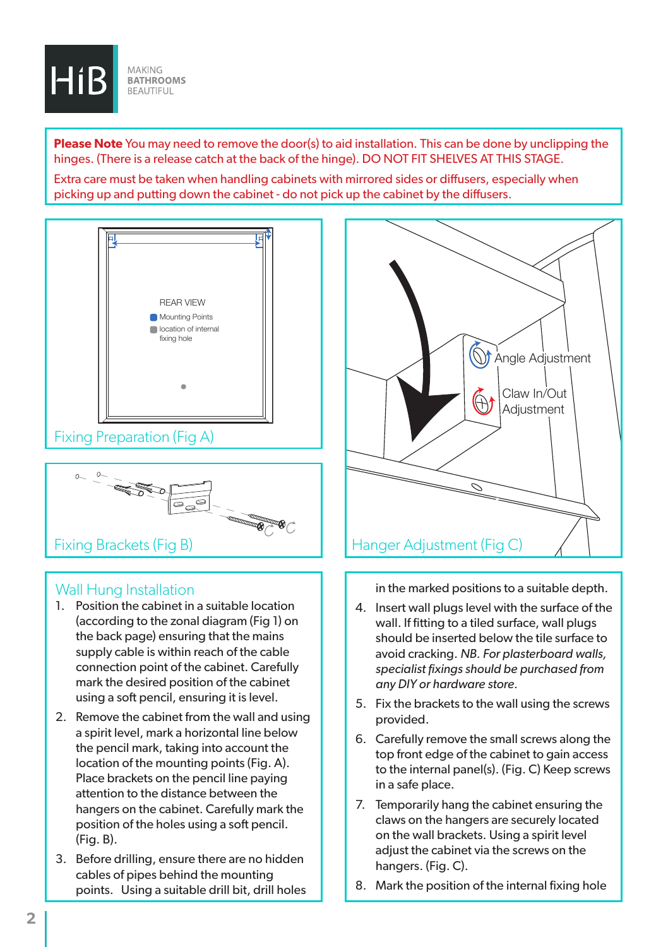

**Please Note** You may need to remove the door(s) to aid installation. This can be done by unclipping the hinges. (There is a release catch at the back of the hinge). DO NOT FIT SHELVES AT THIS STAGE.

Extra care must be taken when handling cabinets with mirrored sides or diffusers, especially when picking up and putting down the cabinet - do not pick up the cabinet by the diffusers.





### Wall Hung Installation

- 1. Position the cabinet in a suitable location (according to the zonal diagram (Fig 1) on the back page) ensuring that the mains supply cable is within reach of the cable connection point of the cabinet. Carefully mark the desired position of the cabinet using a soft pencil, ensuring it is level.
- 2. Remove the cabinet from the wall and using a spirit level, mark a horizontal line below the pencil mark, taking into account the location of the mounting points (Fig. A). Place brackets on the pencil line paying attention to the distance between the hangers on the cabinet. Carefully mark the position of the holes using a soft pencil. (Fig. B).
- 3. Before drilling, ensure there are no hidden cables of pipes behind the mounting points. Using a suitable drill bit, drill holes



in the marked positions to a suitable depth.

- 4. Insert wall plugs level with the surface of the wall. If fitting to a tiled surface, wall plugs should be inserted below the tile surface to avoid cracking. *NB. For plasterboard walls, specialist fixings should be purchased from any DIY or hardware store.*
- 5. Fix the brackets to the wall using the screws provided.
- 6. Carefully remove the small screws along the top front edge of the cabinet to gain access to the internal panel(s). (Fig. C) Keep screws in a safe place.
- 7. Temporarily hang the cabinet ensuring the claws on the hangers are securely located on the wall brackets. Using a spirit level adiust the cabinet via the screws on the hangers. (Fig. C).
- 8. Mark the position of the internal fixing hole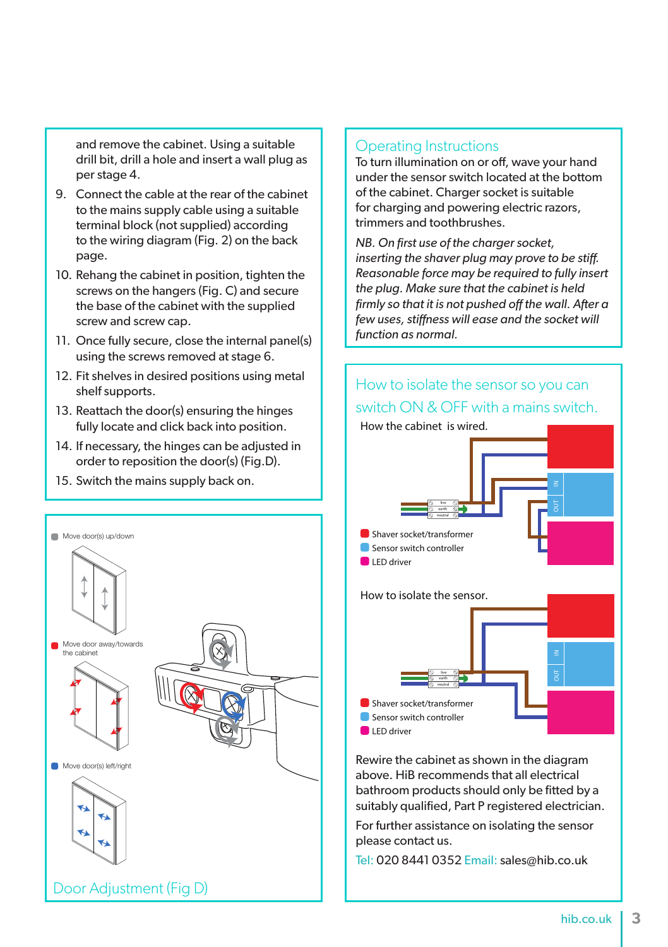and remove the cabinet. Using a suitable drill bit, drill a hole and insert a wall plug as per stage 4.

- 9. Connect the cable at the rear of the cabinet to the mains supply cable using a suitable terminal block (not supplied) according to the wiring diagram (Fig. 2) on the back page.
- 10. Rehang the cabinet in position, tighten the screws on the hangers (Fig. C) and secure the base of the cabinet with the supplied screw and screw cap.
- 11. Once fully secure, close the internal panel(s) using the screws removed at stage 6.
- 12. Fit shelves in desired positions using metal shelf supports.
- 13. Reattach the door(s) ensuring the hinges fully locate and click back into position.
- 14. If necessary, the hinges can be adjusted in order to reposition the door(s) (Fig.D).
- 15. Switch the mains supply back on.



### Operating Instructions

To turn illumination on or off, wave your hand under the sensor switch located at the bottom of the cabinet. Charger socket is suitable for charging and powering electric razors, trimmers and toothbrushes.

*NB. On first use of the charger socket, inserting the shaver plug may prove to be stiff. Reasonable force may be required to fully insert the plug. Make sure that the cabinet is held firmly so that it is not pushed off the wall. After a few uses, stiffness will ease and the socket will function as normal.*



Rewire the cabinet as shown in the diagram above. HiB recommends that all electrical bathroom products should only be fitted by a suitably qualified, Part P registered electrician.

For further assistance on isolating the sensor please contact us.

Tel: 020 8441 0352 Email: sales@hib.co.uk